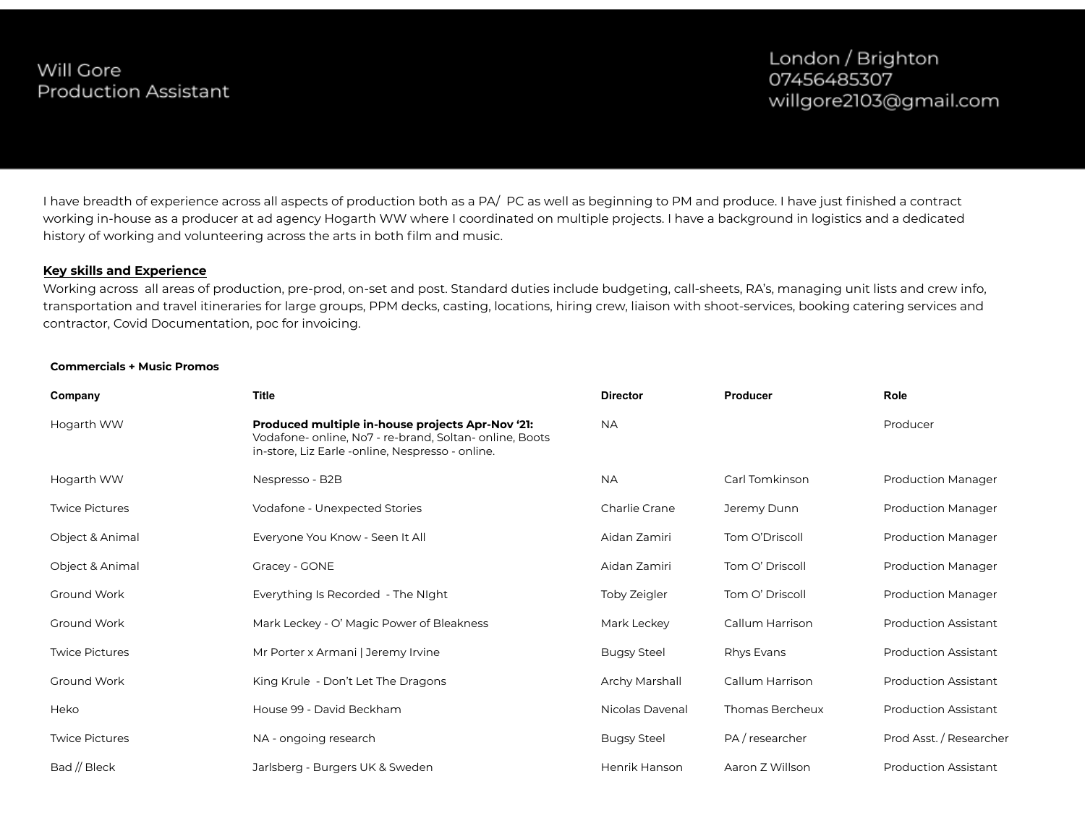I have breadth of experience across all aspects of production both as a PA/ PC as well as beginning to PM and produce. I have just finished a contract working in-house as a producer at ad agency Hogarth WW where I coordinated on multiple projects. I have a background in logistics and a dedicated history of working and volunteering across the arts in both film and music.

### **Key skills and Experience**

Working across all areas of production, pre-prod, on-set and post. Standard duties include budgeting, call-sheets, RA's, managing unit lists and crew info, transportation and travel itineraries for large groups, PPM decks, casting, locations, hiring crew, liaison with shoot-services, booking catering services and contractor, Covid Documentation, poc for invoicing.

#### **Commercials + Music Promos**

| Company               | <b>Title</b>                                                                                                                                                                | <b>Director</b>    | Producer        | Role                        |
|-----------------------|-----------------------------------------------------------------------------------------------------------------------------------------------------------------------------|--------------------|-----------------|-----------------------------|
| Hogarth WW            | Produced multiple in-house projects Apr-Nov '21:<br>Vodafone- online, No <sub>7</sub> - re-brand, Soltan- online, Boots<br>in-store, Liz Earle -online, Nespresso - online. | <b>NA</b>          |                 | Producer                    |
| Hogarth WW            | Nespresso - B2B                                                                                                                                                             | <b>NA</b>          | Carl Tomkinson  | <b>Production Manager</b>   |
| <b>Twice Pictures</b> | Vodafone - Unexpected Stories                                                                                                                                               | Charlie Crane      | Jeremy Dunn     | <b>Production Manager</b>   |
| Object & Animal       | Everyone You Know - Seen It All                                                                                                                                             | Aidan Zamiri       | Tom O'Driscoll  | <b>Production Manager</b>   |
| Object & Animal       | Gracey - GONE                                                                                                                                                               | Aidan Zamiri       | Tom O' Driscoll | <b>Production Manager</b>   |
| Ground Work           | Everything Is Recorded - The Night                                                                                                                                          | Toby Zeigler       | Tom O' Driscoll | <b>Production Manager</b>   |
| Ground Work           | Mark Leckey - O' Magic Power of Bleakness                                                                                                                                   | Mark Leckey        | Callum Harrison | <b>Production Assistant</b> |
| <b>Twice Pictures</b> | Mr Porter x Armani   Jeremy Irvine                                                                                                                                          | <b>Bugsy Steel</b> | Rhys Evans      | <b>Production Assistant</b> |
| Ground Work           | King Krule - Don't Let The Dragons                                                                                                                                          | Archy Marshall     | Callum Harrison | <b>Production Assistant</b> |
| Heko                  | House 99 - David Beckham                                                                                                                                                    | Nicolas Davenal    | Thomas Bercheux | <b>Production Assistant</b> |
| <b>Twice Pictures</b> | NA - ongoing research                                                                                                                                                       | <b>Bugsy Steel</b> | PA / researcher | Prod Asst. / Researcher     |
| Bad // Bleck          | Jarlsberg - Burgers UK & Sweden                                                                                                                                             | Henrik Hanson      | Aaron Z Willson | <b>Production Assistant</b> |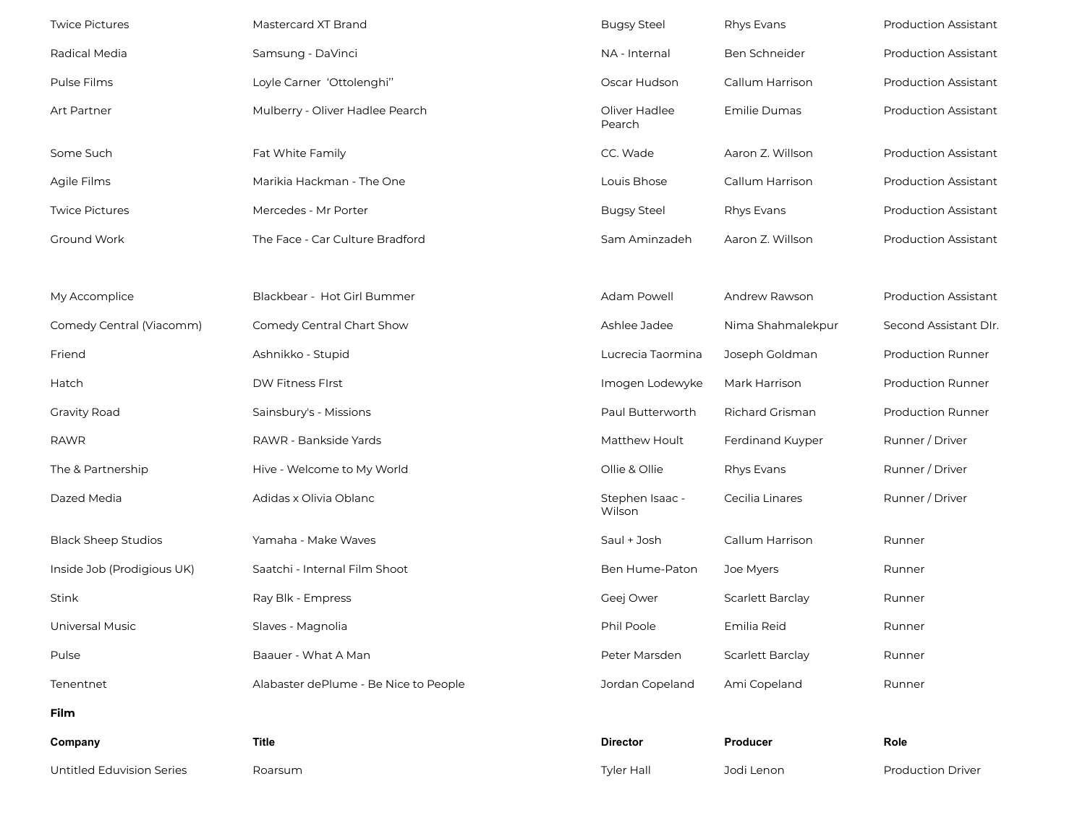| <b>Twice Pictures</b>      | Mastercard XT Brand                   | <b>Bugsy Steel</b>        | Rhys Evans              | <b>Production Assistant</b> |
|----------------------------|---------------------------------------|---------------------------|-------------------------|-----------------------------|
| Radical Media              | Samsung - DaVinci                     | NA - Internal             | Ben Schneider           | <b>Production Assistant</b> |
| Pulse Films                | Loyle Carner 'Ottolenghi"             | Oscar Hudson              | Callum Harrison         | <b>Production Assistant</b> |
| Art Partner                | Mulberry - Oliver Hadlee Pearch       | Oliver Hadlee<br>Pearch   | Emilie Dumas            | <b>Production Assistant</b> |
| Some Such                  | Fat White Family                      | CC. Wade                  | Aaron Z. Willson        | <b>Production Assistant</b> |
| Agile Films                | Marikia Hackman - The One             | Louis Bhose               | Callum Harrison         | <b>Production Assistant</b> |
| <b>Twice Pictures</b>      | Mercedes - Mr Porter                  | <b>Bugsy Steel</b>        | Rhys Evans              | <b>Production Assistant</b> |
| Ground Work                | The Face - Car Culture Bradford       | Sam Aminzadeh             | Aaron Z. Willson        | <b>Production Assistant</b> |
|                            |                                       |                           |                         |                             |
| My Accomplice              | Blackbear - Hot Girl Bummer           | Adam Powell               | Andrew Rawson           | <b>Production Assistant</b> |
| Comedy Central (Viacomm)   | Comedy Central Chart Show             | Ashlee Jadee              | Nima Shahmalekpur       | Second Assistant DIr.       |
| Friend                     | Ashnikko - Stupid                     | Lucrecia Taormina         | Joseph Goldman          | <b>Production Runner</b>    |
| Hatch                      | DW Fitness FIrst                      | Imogen Lodewyke           | Mark Harrison           | <b>Production Runner</b>    |
| <b>Gravity Road</b>        | Sainsbury's - Missions                | Paul Butterworth          | <b>Richard Grisman</b>  | <b>Production Runner</b>    |
| <b>RAWR</b>                | RAWR - Bankside Yards                 | Matthew Hoult             | Ferdinand Kuyper        | Runner / Driver             |
| The & Partnership          | Hive - Welcome to My World            | Ollie & Ollie             | Rhys Evans              | Runner / Driver             |
| Dazed Media                | Adidas x Olivia Oblanc                | Stephen Isaac -<br>Wilson | Cecilia Linares         | Runner / Driver             |
| <b>Black Sheep Studios</b> | Yamaha - Make Waves                   | Saul + Josh               | Callum Harrison         | Runner                      |
| Inside Job (Prodigious UK) | Saatchi - Internal Film Shoot         | Ben Hume-Paton            | Joe Myers               | Runner                      |
| Stink                      | Ray Blk - Empress                     | Geej Ower                 | <b>Scarlett Barclay</b> | Runner                      |
| Universal Music            | Slaves - Magnolia                     | Phil Poole                | Emilia Reid             | Runner                      |
| Pulse                      | Baauer - What A Man                   | Peter Marsden             | Scarlett Barclay        | Runner                      |
| Tenentnet                  | Alabaster dePlume - Be Nice to People | Jordan Copeland           | Ami Copeland            | Runner                      |
| Film                       |                                       |                           |                         |                             |
| Company                    | <b>Title</b>                          | <b>Director</b>           | Producer                | Role                        |
| Untitled Eduvision Series  | Roarsum                               | Tyler Hall                | Jodi Lenon              | Production Driver           |